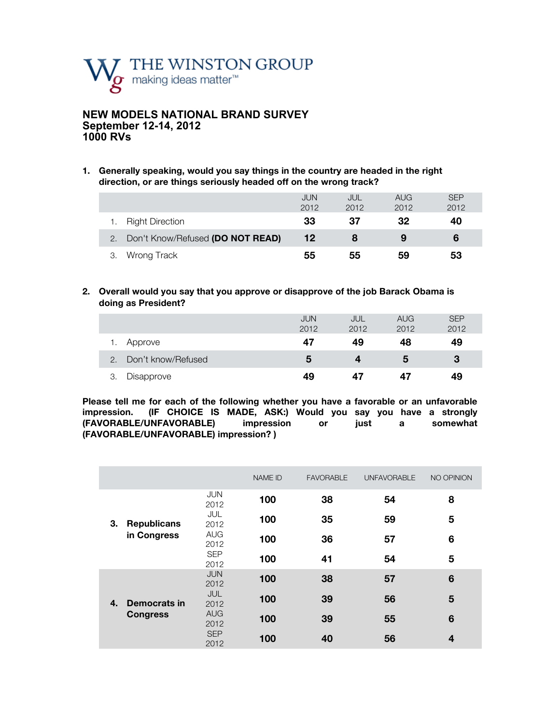

## **NEW MODELS NATIONAL BRAND SURVEY September 12-14, 2012 1000 RVs**

**1. Generally speaking, would you say things in the country are headed in the right direction, or are things seriously headed off on the wrong track?** 

|    |                                  | <b>JUN</b><br>2012 | JUL<br>2012 | AUG<br>2012 | <b>SEP</b><br>2012 |
|----|----------------------------------|--------------------|-------------|-------------|--------------------|
|    | <b>Right Direction</b>           | 33                 | 37          | 32          | 40                 |
| 2. | Don't Know/Refused (DO NOT READ) | 12                 |             |             | 6                  |
| 3. | Wrong Track                      | 55                 | 55          | 59          | 53                 |

**2. Overall would you say that you approve or disapprove of the job Barack Obama is doing as President?**

|                                     | <b>JUN</b><br>2012 | JUL<br>2012 | <b>AUG</b><br>2012 | <b>SEP</b><br>2012 |
|-------------------------------------|--------------------|-------------|--------------------|--------------------|
| Approve                             | 47                 | 49          | 48                 | 49                 |
| Don't know/Refused<br>$\mathcal{P}$ | 5                  | Δ           | 5                  | 3                  |
| Disapprove<br>3                     | 49                 | 47          | 47                 | 49                 |

**Please tell me for each of the following whether you have a favorable or an unfavorable impression. (IF CHOICE IS MADE, ASK:) Would you say you have a strongly (FAVORABLE/UNFAVORABLE) impression or just a somewhat (FAVORABLE/UNFAVORABLE) impression? )**

|    |                    |                                          | <b>NAME ID</b> | <b>FAVORABLE</b> | <b>UNFAVORABLE</b> | NO OPINION |
|----|--------------------|------------------------------------------|----------------|------------------|--------------------|------------|
| З. | <b>Republicans</b> | <b>JUN</b><br>2012<br>JUL<br>2012        | 100<br>100     | 38<br>35         | 54<br>59           | 8<br>5     |
|    | in Congress        | <b>AUG</b><br>2012<br><b>SEP</b><br>2012 | 100<br>100     | 36<br>41         | 57<br>54           | 6<br>5     |
| 4. | Democrats in       | <b>JUN</b><br>2012<br><b>JUL</b><br>2012 | 100<br>100     | 38<br>39         | 57<br>56           | 6<br>5     |
|    | <b>Congress</b>    | <b>AUG</b><br>2012<br><b>SEP</b><br>2012 | 100<br>100     | 39<br>40         | 55<br>56           | 6<br>4     |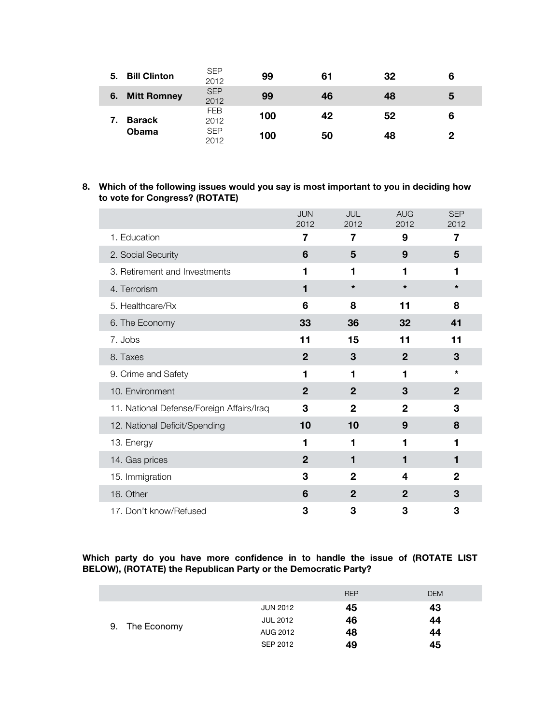| <b>Bill Clinton</b><br>5. | <b>SEP</b><br>2012 | 99  | 61 | 32 | 6 |
|---------------------------|--------------------|-----|----|----|---|
| <b>Mitt Romney</b><br>6.  | <b>SEP</b><br>2012 | 99  | 46 | 48 | 5 |
| <b>Barack</b><br>7.       | <b>FEB</b><br>2012 | 100 | 42 | 52 | 6 |
| <b>Obama</b>              | <b>SEP</b><br>2012 | 100 | 50 | 48 |   |

## **8. Which of the following issues would you say is most important to you in deciding how to vote for Congress? (ROTATE)**

|                                           | <b>JUN</b><br>2012 | <b>JUL</b><br>2012 | <b>AUG</b><br>2012 | <b>SEP</b><br>2012 |
|-------------------------------------------|--------------------|--------------------|--------------------|--------------------|
| 1. Education                              | 7                  | 7                  | 9                  | 7                  |
| 2. Social Security                        | 6                  | 5                  | 9                  | 5                  |
| 3. Retirement and Investments             | 1                  | 1                  | 1                  | 1                  |
| 4. Terrorism                              | 1                  | $\star$            | $\star$            | $\star$            |
| 5. Healthcare/Rx                          | 6                  | 8                  | 11                 | 8                  |
| 6. The Economy                            | 33                 | 36                 | 32                 | 41                 |
| 7. Jobs                                   | 11                 | 15                 | 11                 | 11                 |
| 8. Taxes                                  | $\overline{2}$     | 3                  | $\overline{2}$     | 3                  |
| 9. Crime and Safety                       | 1                  | 1                  | 1                  | $\star$            |
| 10. Environment                           | $\overline{2}$     | $\overline{2}$     | 3                  | $\overline{2}$     |
| 11. National Defense/Foreign Affairs/Iraq | 3                  | $\overline{2}$     | $\overline{2}$     | 3                  |
| 12. National Deficit/Spending             | 10                 | 10                 | 9                  | 8                  |
| 13. Energy                                | 1                  | 1                  | 1                  | 1                  |
| 14. Gas prices                            | $\mathbf{2}$       | 1                  | 1                  | 1                  |
| 15. Immigration                           | 3                  | $\mathbf{2}$       | 4                  | $\mathbf{2}$       |
| 16. Other                                 | 6                  | $\mathbf{2}$       | $\mathbf{2}$       | 3                  |
| 17. Don't know/Refused                    | 3                  | 3                  | 3                  | 3                  |

### **Which party do you have more confidence in to handle the issue of (ROTATE LIST BELOW), (ROTATE) the Republican Party or the Democratic Party?**

|                |                 | <b>REP</b> | <b>DEM</b> |
|----------------|-----------------|------------|------------|
|                | <b>JUN 2012</b> | 45         | 43         |
|                | <b>JUL 2012</b> | 46         | 44         |
| 9. The Economy | AUG 2012        | 48         | 44         |
|                | SEP 2012        | 49         | 45         |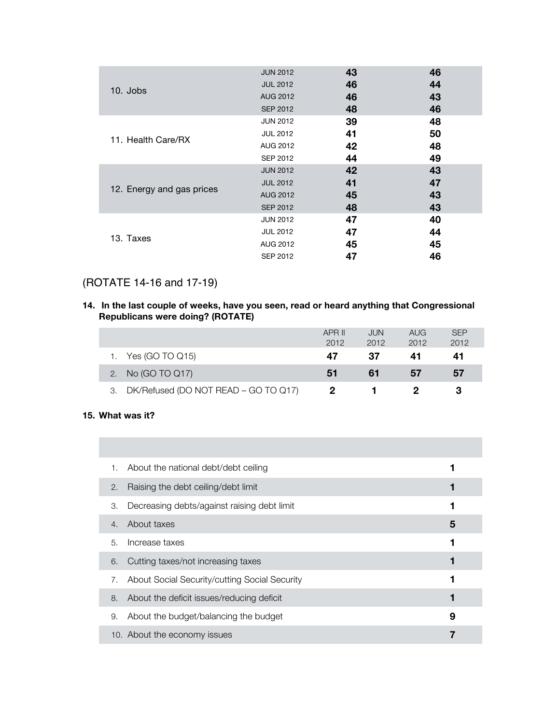|                           | <b>JUN 2012</b> | 43 | 46 |
|---------------------------|-----------------|----|----|
|                           | <b>JUL 2012</b> | 46 | 44 |
| 10. Jobs                  | <b>AUG 2012</b> | 46 | 43 |
|                           | <b>SEP 2012</b> | 48 | 46 |
|                           | <b>JUN 2012</b> | 39 | 48 |
| 11. Health Care/RX        | <b>JUL 2012</b> | 41 | 50 |
|                           | AUG 2012        | 42 | 48 |
|                           | <b>SEP 2012</b> | 44 | 49 |
|                           | <b>JUN 2012</b> | 42 | 43 |
|                           | <b>JUL 2012</b> | 41 | 47 |
| 12. Energy and gas prices | <b>AUG 2012</b> | 45 | 43 |
|                           | <b>SEP 2012</b> | 48 | 43 |
|                           | <b>JUN 2012</b> | 47 | 40 |
| 13. Taxes                 | <b>JUL 2012</b> | 47 | 44 |
|                           | AUG 2012        | 45 | 45 |
|                           | SEP 2012        | 47 | 46 |

# (ROTATE 14-16 and 17-19)

**14. In the last couple of weeks, have you seen, read or heard anything that Congressional Republicans were doing? (ROTATE)**

|                                         | APR II<br>2012 | JUN.<br>2012 | AUG.<br>2012 | <b>SEP</b><br>2012 |
|-----------------------------------------|----------------|--------------|--------------|--------------------|
| 1. Yes (GO TO Q15)                      | 47             | 37           | 41           | 41                 |
| 2. No (GO TO Q17)                       | 51             | 61           | 57           | 57                 |
| 3. DK/Refused (DO NOT READ – GO TO Q17) |                |              |              |                    |

## **15. What was it?**

| 1.                    | About the national debt/debt ceiling          |   |
|-----------------------|-----------------------------------------------|---|
| 2.                    | Raising the debt ceiling/debt limit           |   |
| З.                    | Decreasing debts/against raising debt limit   |   |
| $\mathcal{A}_{\cdot}$ | About taxes                                   | 5 |
| 5.                    | Increase taxes                                |   |
| 6.                    | Cutting taxes/not increasing taxes            |   |
| 7.                    | About Social Security/cutting Social Security |   |
| 8.                    | About the deficit issues/reducing deficit     |   |
| 9.                    | About the budget/balancing the budget         | 9 |
|                       | 10. About the economy issues                  |   |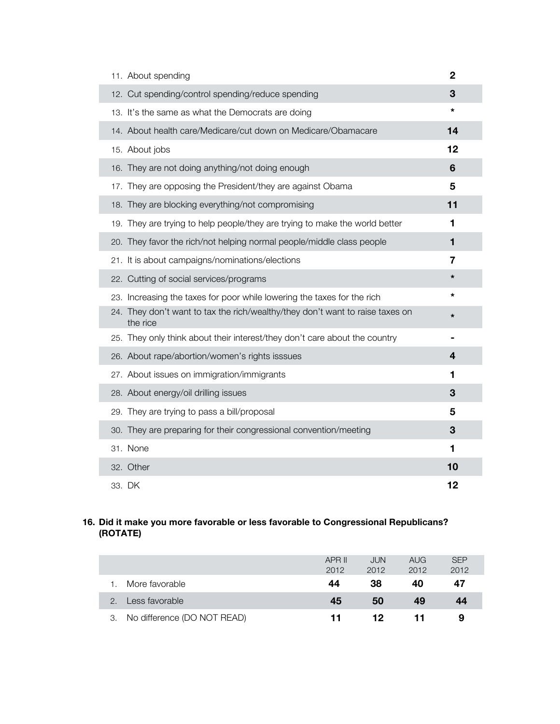| 11. About spending                                                                        | 2       |
|-------------------------------------------------------------------------------------------|---------|
| 12. Cut spending/control spending/reduce spending                                         | 3       |
| 13. It's the same as what the Democrats are doing                                         | $\star$ |
| 14. About health care/Medicare/cut down on Medicare/Obamacare                             | 14      |
| 15. About jobs                                                                            | 12      |
| 16. They are not doing anything/not doing enough                                          | 6       |
| 17. They are opposing the President/they are against Obama                                | 5       |
| 18. They are blocking everything/not compromising                                         | 11      |
| 19. They are trying to help people/they are trying to make the world better               | 1       |
| 20. They favor the rich/not helping normal people/middle class people                     | 1       |
| 21. It is about campaigns/nominations/elections                                           | 7       |
| 22. Cutting of social services/programs                                                   | *       |
| 23. Increasing the taxes for poor while lowering the taxes for the rich                   | *       |
| 24. They don't want to tax the rich/wealthy/they don't want to raise taxes on<br>the rice | $\star$ |
| 25. They only think about their interest/they don't care about the country                |         |
| 26. About rape/abortion/women's rights isssues                                            | 4       |
| 27. About issues on immigration/immigrants                                                | 1       |
| 28. About energy/oil drilling issues                                                      | 3       |
| 29. They are trying to pass a bill/proposal                                               | 5       |
| 30. They are preparing for their congressional convention/meeting                         | 3       |
| 31. None                                                                                  | 1       |
| 32. Other                                                                                 | 10      |
| 33. DK                                                                                    | 12      |

#### **16. Did it make you more favorable or less favorable to Congressional Republicans? (ROTATE)**

|                                | APR II<br>2012 | <b>JUN</b><br>2012 | AUG.<br>2012 | <b>SEP</b><br>2012 |
|--------------------------------|----------------|--------------------|--------------|--------------------|
| More favorable                 | 44             | 38                 | 40           | 47                 |
| 2. Less favorable              | 45             | 50                 | 49           | 44                 |
| 3. No difference (DO NOT READ) | 11.            | 12                 | 11           | 9                  |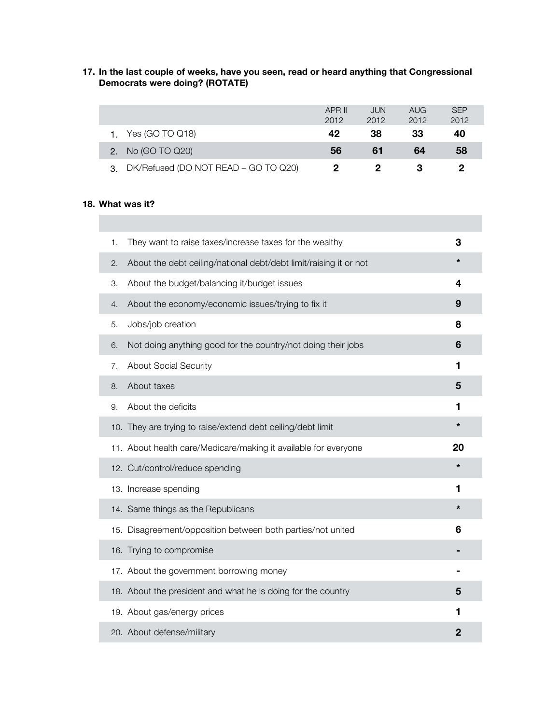## **17. In the last couple of weeks, have you seen, read or heard anything that Congressional Democrats were doing? (ROTATE)**

|                                      | APR II<br>2012 | JUN<br>2012 | AUG.<br>2012 | <b>SEP</b><br>2012 |
|--------------------------------------|----------------|-------------|--------------|--------------------|
| Yes (GO TO Q18)                      | 42             | 38          | 33           | 40                 |
| 2. No (GO TO Q20)                    | 56             | 61          | 64           | 58                 |
| DK/Refused (DO NOT READ - GO TO Q20) |                |             |              |                    |

## **18. What was it?**

| 1. | They want to raise taxes/increase taxes for the wealthy           | 3       |  |
|----|-------------------------------------------------------------------|---------|--|
| 2. | About the debt ceiling/national debt/debt limit/raising it or not | $\star$ |  |
| 3. | About the budget/balancing it/budget issues                       | 4       |  |
| 4. | About the economy/economic issues/trying to fix it                | 9       |  |
| 5. | Jobs/job creation                                                 | 8       |  |
| 6. | Not doing anything good for the country/not doing their jobs      | 6       |  |
| 7. | <b>About Social Security</b>                                      | 1       |  |
| 8. | About taxes                                                       | 5       |  |
| 9. | About the deficits                                                | 1       |  |
|    | 10. They are trying to raise/extend debt ceiling/debt limit       | $\star$ |  |
|    | 11. About health care/Medicare/making it available for everyone   | 20      |  |
|    | 12. Cut/control/reduce spending                                   | $\star$ |  |
|    | 13. Increase spending                                             | 1       |  |
|    | 14. Same things as the Republicans                                | $\star$ |  |
|    | 15. Disagreement/opposition between both parties/not united       | 6       |  |
|    | 16. Trying to compromise                                          |         |  |
|    | 17. About the government borrowing money                          |         |  |
|    | 18. About the president and what he is doing for the country      | 5       |  |
|    | 19. About gas/energy prices                                       | 1       |  |
|    | 20. About defense/military                                        | 2       |  |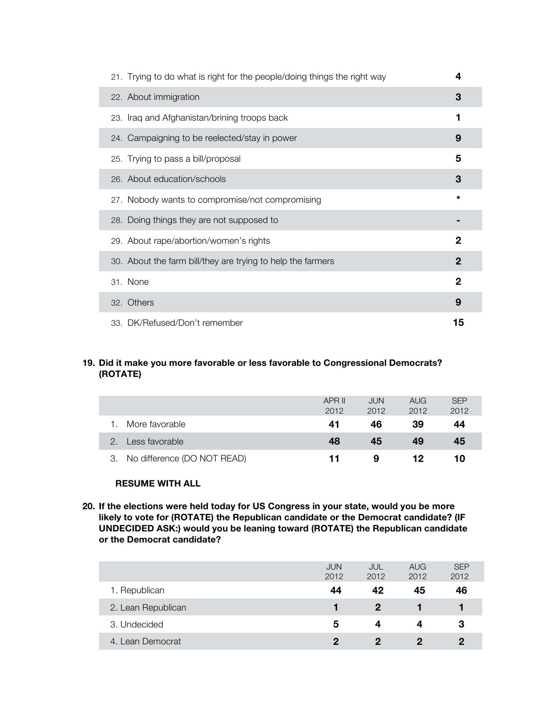| 21. Trying to do what is right for the people/doing things the right way | 4            |
|--------------------------------------------------------------------------|--------------|
| 22. About immigration                                                    | 3            |
| 23. Iraq and Afghanistan/brining troops back                             | 1            |
| 24. Campaigning to be reelected/stay in power                            | 9            |
| 25. Trying to pass a bill/proposal                                       | 5            |
| 26. About education/schools                                              | 3            |
| 27. Nobody wants to compromise/not compromising                          | $\star$      |
| 28. Doing things they are not supposed to                                |              |
| 29. About rape/abortion/women's rights                                   | $\mathbf{2}$ |
| 30. About the farm bill/they are trying to help the farmers              | $\mathbf{2}$ |
| 31. None                                                                 | 2            |
| 32. Others                                                               | 9            |
| 33. DK/Refused/Don't remember                                            | 15           |

#### **19. Did it make you more favorable or less favorable to Congressional Democrats? (ROTATE)**

|                                | APR II<br>2012 | <b>JUN</b><br>2012 | AUG.<br>2012 | <b>SEP</b><br>2012 |
|--------------------------------|----------------|--------------------|--------------|--------------------|
| More favorable                 | 41             | 46                 | 39           | 44                 |
| 2. Less favorable              | 48             | 45                 | 49           | 45                 |
| 3. No difference (DO NOT READ) | 11             | 9                  | 12           | 10                 |

## **RESUME WITH ALL**

**20. If the elections were held today for US Congress in your state, would you be more likely to vote for (ROTATE) the Republican candidate or the Democrat candidate? (IF UNDECIDED ASK:) would you be leaning toward (ROTATE) the Republican candidate or the Democrat candidate?**

|                    | <b>JUN</b><br>2012 | JUL<br>2012 | <b>AUG</b><br>2012 | <b>SEP</b><br>2012 |
|--------------------|--------------------|-------------|--------------------|--------------------|
| 1. Republican      | 44                 | 42          | 45                 | 46                 |
| 2. Lean Republican |                    | $\mathbf 2$ |                    |                    |
| 3. Undecided       | 5                  | 4           | 4                  | З                  |
| 4. Lean Democrat   | 2                  | 2           | 2                  | 2                  |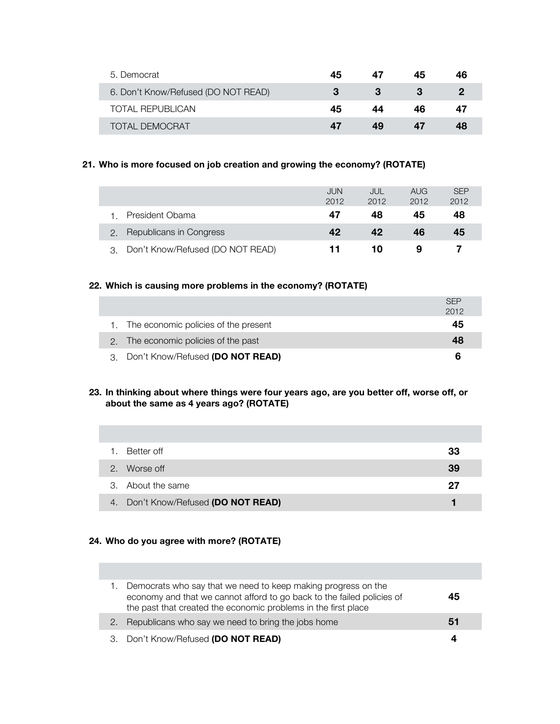| 5. Democrat                         | 45 | 47 | 45 | 46 |
|-------------------------------------|----|----|----|----|
| 6. Don't Know/Refused (DO NOT READ) | З  |    | З  |    |
| <b>TOTAL REPUBLICAN</b>             | 45 | 44 | 46 | 47 |
| TOTAL DEMOCRAT                      | 47 | 49 | 47 |    |

#### **21. Who is more focused on job creation and growing the economy? (ROTATE)**

|                                  | <b>JUN</b><br>2012 | JUL<br>2012 | AUG.<br>2012 | <b>SEP</b><br>2012 |
|----------------------------------|--------------------|-------------|--------------|--------------------|
| President Obama                  | 47                 | 48          | 45           | 48                 |
| Republicans in Congress          | 42                 | 42          | 46           | 45                 |
| Don't Know/Refused (DO NOT READ) | 11                 | 10          |              |                    |

#### **22. Which is causing more problems in the economy? (ROTATE)**

|                                         | SFP<br>2012 |
|-----------------------------------------|-------------|
| 1. The economic policies of the present | 45          |
| 2. The economic policies of the past    | 48          |
| 3. Don't Know/Refused (DO NOT READ)     | 6           |

## **23. In thinking about where things were four years ago, are you better off, worse off, or about the same as 4 years ago? (ROTATE)**

| Better off                          | 33 |
|-------------------------------------|----|
| 2. Worse off                        | 39 |
| 3. About the same                   | 27 |
| 4. Don't Know/Refused (DO NOT READ) |    |

## **24. Who do you agree with more? (ROTATE)**

|  | Democrats who say that we need to keep making progress on the<br>economy and that we cannot afford to go back to the failed policies of<br>the past that created the economic problems in the first place | 45 |  |
|--|-----------------------------------------------------------------------------------------------------------------------------------------------------------------------------------------------------------|----|--|
|  | 2. Republicans who say we need to bring the jobs home                                                                                                                                                     | 51 |  |
|  | 3. Don't Know/Refused (DO NOT READ)                                                                                                                                                                       | ◢  |  |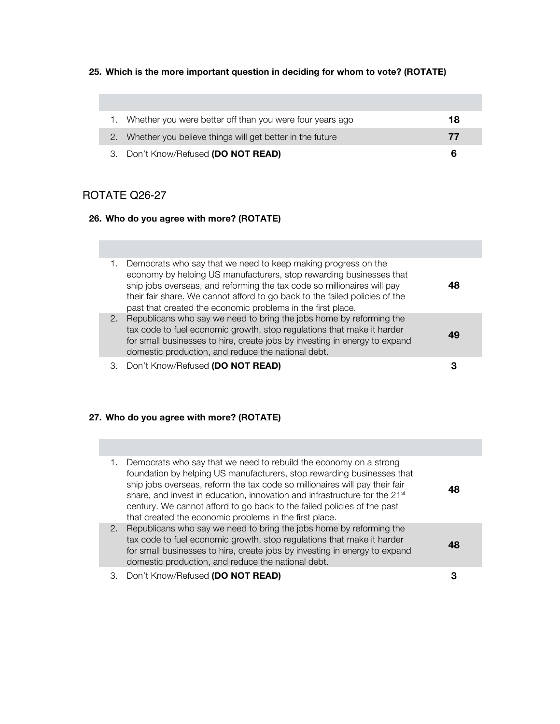**25. Which is the more important question in deciding for whom to vote? (ROTATE)** 

| 1. Whether you were better off than you were four years ago | 18 |
|-------------------------------------------------------------|----|
| 2. Whether you believe things will get better in the future | 77 |
| 3. Don't Know/Refused (DO NOT READ)                         | 6  |

# ROTATE Q26-27

# **26. Who do you agree with more? (ROTATE)**

|    | Democrats who say that we need to keep making progress on the<br>economy by helping US manufacturers, stop rewarding businesses that<br>ship jobs overseas, and reforming the tax code so millionaires will pay<br>their fair share. We cannot afford to go back to the failed policies of the<br>past that created the economic problems in the first place. |    |
|----|---------------------------------------------------------------------------------------------------------------------------------------------------------------------------------------------------------------------------------------------------------------------------------------------------------------------------------------------------------------|----|
| 2. | Republicans who say we need to bring the jobs home by reforming the<br>tax code to fuel economic growth, stop regulations that make it harder<br>for small businesses to hire, create jobs by investing in energy to expand<br>domestic production, and reduce the national debt.                                                                             | 49 |
|    | 3. Don't Know/Refused (DO NOT READ)                                                                                                                                                                                                                                                                                                                           |    |

# **27. Who do you agree with more? (ROTATE)**

|    | Democrats who say that we need to rebuild the economy on a strong<br>foundation by helping US manufacturers, stop rewarding businesses that<br>ship jobs overseas, reform the tax code so millionaires will pay their fair<br>share, and invest in education, innovation and infrastructure for the 21 <sup>st</sup><br>century. We cannot afford to go back to the failed policies of the past<br>that created the economic problems in the first place. | 48 |
|----|-----------------------------------------------------------------------------------------------------------------------------------------------------------------------------------------------------------------------------------------------------------------------------------------------------------------------------------------------------------------------------------------------------------------------------------------------------------|----|
| 2. | Republicans who say we need to bring the jobs home by reforming the<br>tax code to fuel economic growth, stop regulations that make it harder<br>for small businesses to hire, create jobs by investing in energy to expand<br>domestic production, and reduce the national debt.                                                                                                                                                                         | 48 |
|    | 3. Don't Know/Refused (DO NOT READ)                                                                                                                                                                                                                                                                                                                                                                                                                       |    |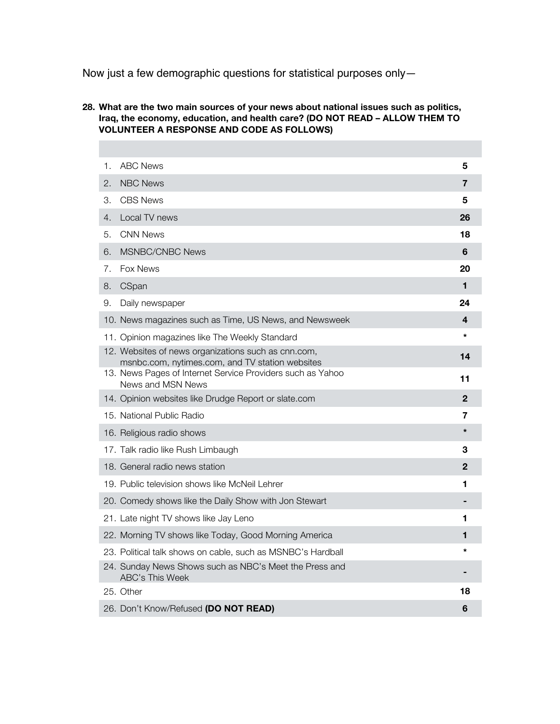Now just a few demographic questions for statistical purposes only—

## **28. What are the two main sources of your news about national issues such as politics, Iraq, the economy, education, and health care? (DO NOT READ – ALLOW THEM TO VOLUNTEER A RESPONSE AND CODE AS FOLLOWS)**

| 1. | <b>ABC News</b>                                                                                        | 5              |
|----|--------------------------------------------------------------------------------------------------------|----------------|
| 2. | <b>NBC News</b>                                                                                        | 7              |
| З. | <b>CBS News</b>                                                                                        | 5              |
| 4. | Local TV news                                                                                          | 26             |
| 5. | <b>CNN News</b>                                                                                        | 18             |
| 6. | MSNBC/CNBC News                                                                                        | 6              |
| 7. | Fox News                                                                                               | 20             |
| 8. | CSpan                                                                                                  | 1              |
| 9. | Daily newspaper                                                                                        | 24             |
|    | 10. News magazines such as Time, US News, and Newsweek                                                 | 4              |
|    | 11. Opinion magazines like The Weekly Standard                                                         |                |
|    | 12. Websites of news organizations such as cnn.com,<br>msnbc.com, nytimes.com, and TV station websites | 14             |
|    | 13. News Pages of Internet Service Providers such as Yahoo<br>News and MSN News                        | 11             |
|    | 14. Opinion websites like Drudge Report or slate.com                                                   | $\overline{2}$ |
|    | 15. National Public Radio                                                                              | 7              |
|    | 16. Religious radio shows                                                                              |                |
|    | 17. Talk radio like Rush Limbaugh                                                                      | 3              |
|    | 18. General radio news station                                                                         | $\overline{2}$ |
|    | 19. Public television shows like McNeil Lehrer                                                         | 1              |
|    | 20. Comedy shows like the Daily Show with Jon Stewart                                                  |                |
|    | 21. Late night TV shows like Jay Leno                                                                  | 1              |
|    | 22. Morning TV shows like Today, Good Morning America                                                  | 1              |
|    | 23. Political talk shows on cable, such as MSNBC's Hardball                                            |                |
|    | 24. Sunday News Shows such as NBC's Meet the Press and<br><b>ABC's This Week</b>                       |                |
|    | 25. Other                                                                                              | 18             |
|    | 26. Don't Know/Refused (DO NOT READ)                                                                   | 6              |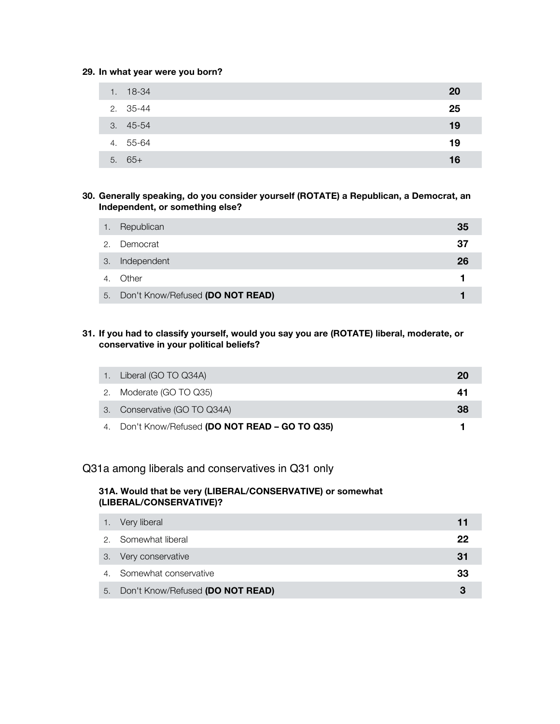#### **29. In what year were you born?**

| 1. 18-34    | 20 |
|-------------|----|
| 2. 35-44    | 25 |
| $3.45 - 54$ | 19 |
| 4. 55-64    | 19 |
| $5. 65+$    | 16 |

### **30. Generally speaking, do you consider yourself (ROTATE) a Republican, a Democrat, an Independent, or something else?**

| 1. | Republican                          | 35 |
|----|-------------------------------------|----|
| 2. | Democrat                            | 37 |
| 3. | Independent                         | 26 |
| 4. | Other                               |    |
|    | 5. Don't Know/Refused (DO NOT READ) |    |

## **31. If you had to classify yourself, would you say you are (ROTATE) liberal, moderate, or conservative in your political beliefs?**

| 1. Liberal (GO TO Q34A)                         | 20 |
|-------------------------------------------------|----|
| 2. Moderate (GO TO Q35)                         | 41 |
| 3. Conservative (GO TO Q34A)                    | 38 |
| 4. Don't Know/Refused (DO NOT READ - GO TO Q35) |    |

## Q31a among liberals and conservatives in Q31 only

#### **31A. Would that be very (LIBERAL/CONSERVATIVE) or somewhat (LIBERAL/CONSERVATIVE)?**

|    | Very liberal                     |    |
|----|----------------------------------|----|
|    | 2. Somewhat liberal              | 22 |
| 3. | Very conservative                | 31 |
|    | 4. Somewhat conservative         | 33 |
| 5. | Don't Know/Refused (DO NOT READ) |    |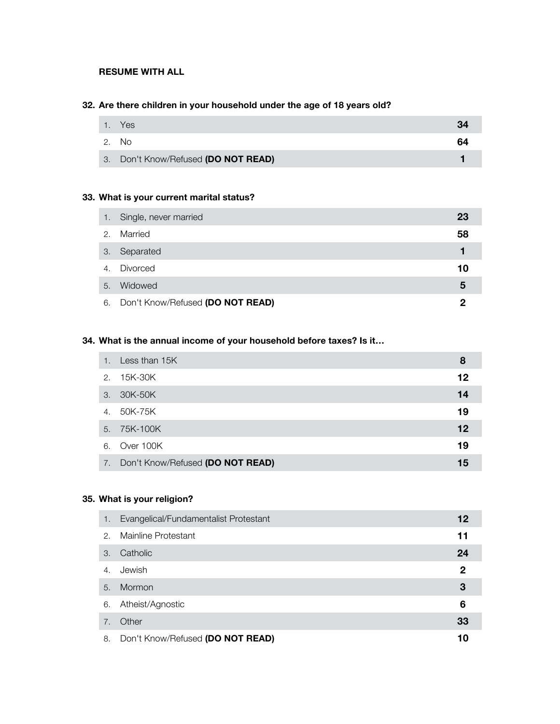## **RESUME WITH ALL**

## **32. Are there children in your household under the age of 18 years old?**

| 1. Yes                              |    |
|-------------------------------------|----|
| 2. No                               | 64 |
| 3. Don't Know/Refused (DO NOT READ) |    |

## **33. What is your current marital status?**

| 71. Z | Single, never married            | 23 |
|-------|----------------------------------|----|
| 2.    | Married                          | 58 |
| 3.    | Separated                        |    |
|       | 4. Divorced                      | 10 |
| 5.    | Widowed                          | 5  |
| 6.    | Don't Know/Refused (DO NOT READ) |    |

#### **34. What is the annual income of your household before taxes? Is it…**

| $1_{\cdot}$ | Less than 15K                    | 8  |
|-------------|----------------------------------|----|
| 2.          | 15K-30K                          | 12 |
| 3.          | 30K-50K                          | 14 |
| 4.          | 50K-75K                          | 19 |
|             | 5. 75K-100K                      | 12 |
| 6.          | Over 100K                        | 19 |
| 7.          | Don't Know/Refused (DO NOT READ) | 15 |

## **35. What is your religion?**

| 1.                    | Evangelical/Fundamentalist Protestant | 12 |
|-----------------------|---------------------------------------|----|
| 2.                    | Mainline Protestant                   | 11 |
| 3.                    | Catholic                              | 24 |
| $\mathcal{A}_{\cdot}$ | Jewish                                | 2  |
| 5.                    | Mormon                                | 3  |
| 6.                    | Atheist/Agnostic                      | 6  |
| 7.                    | Other                                 | 33 |
| 8.                    | Don't Know/Refused (DO NOT READ)      | 10 |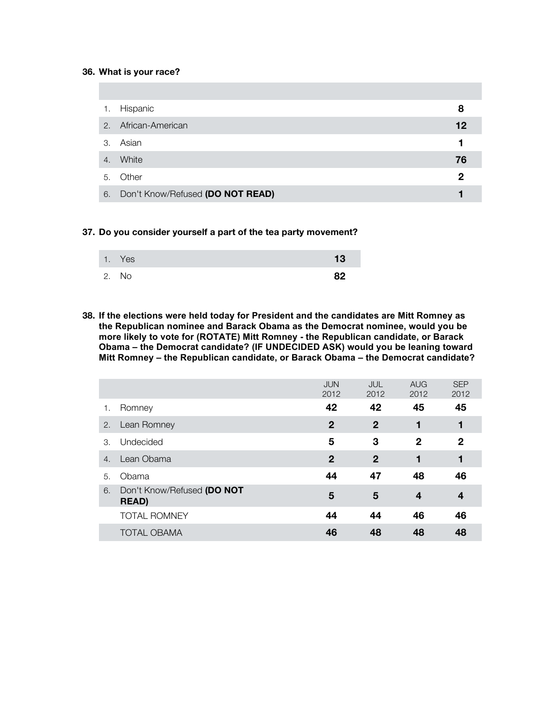#### **36. What is your race?**

| $\mathbf{1}$ .  | Hispanic                         | 8  |
|-----------------|----------------------------------|----|
| 2.              | African-American                 | 12 |
| 3.              | Asian                            |    |
| $\mathcal{A}$ . | White                            | 76 |
| 5.              | Other                            | 2  |
| 6.              | Don't Know/Refused (DO NOT READ) |    |

#### **37. Do you consider yourself a part of the tea party movement?**

| 1. Yes | 13 |
|--------|----|
| 2. No  | 82 |

**38. If the elections were held today for President and the candidates are Mitt Romney as the Republican nominee and Barack Obama as the Democrat nominee, would you be more likely to vote for (ROTATE) Mitt Romney - the Republican candidate, or Barack Obama – the Democrat candidate? (IF UNDECIDED ASK) would you be leaning toward Mitt Romney – the Republican candidate, or Barack Obama – the Democrat candidate?**

|    |                                            | <b>JUN</b><br>2012 | JUL<br>2012  | AUG<br>2012         | <b>SEP</b><br>2012 |
|----|--------------------------------------------|--------------------|--------------|---------------------|--------------------|
| 1. | Romney                                     | 42                 | 42           | 45                  | 45                 |
| 2. | Lean Romney                                | $\mathbf 2$        | $\mathbf{2}$ | 1                   | 1                  |
| 3. | Undecided                                  | 5                  | 3            | $\mathbf{2}$        | $\mathbf{2}$       |
| 4. | Lean Obama                                 | $\mathbf 2$        | $\mathbf{2}$ | 1                   | 1                  |
| 5. | Obama                                      | 44                 | 47           | 48                  | 46                 |
| 6. | Don't Know/Refused (DO NOT<br><b>READ)</b> | 5                  | 5            | $\overline{\bf{4}}$ | $\boldsymbol{4}$   |
|    | <b>TOTAL ROMNEY</b>                        | 44                 | 44           | 46                  | 46                 |
|    | <b>TOTAL OBAMA</b>                         | 46                 | 48           | 48                  | 48                 |